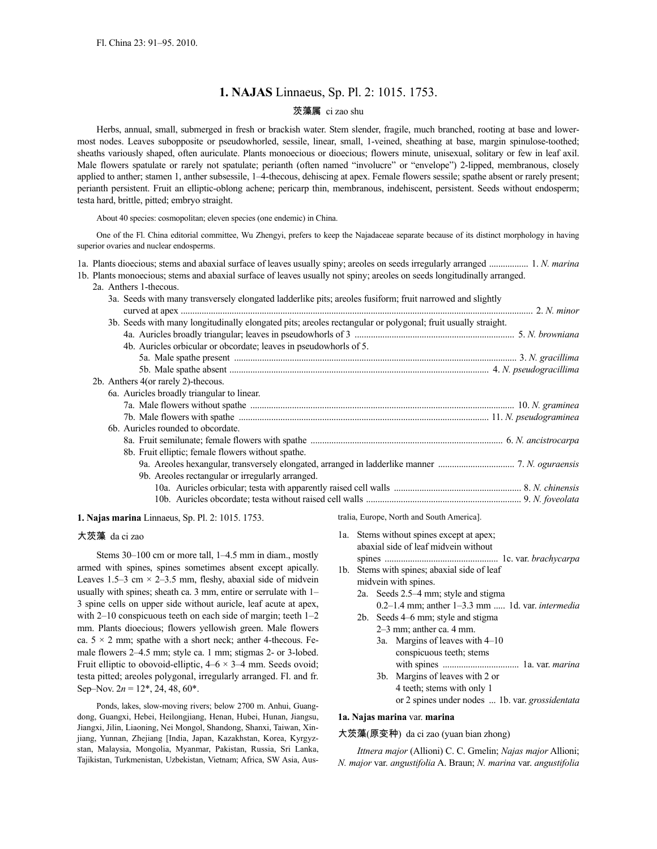# **1. NAJAS** Linnaeus, Sp. Pl. 2: 1015. 1753.

## 茨藻属 ci zao shu

Herbs, annual, small, submerged in fresh or brackish water. Stem slender, fragile, much branched, rooting at base and lowermost nodes. Leaves subopposite or pseudowhorled, sessile, linear, small, 1-veined, sheathing at base, margin spinulose-toothed; sheaths variously shaped, often auriculate. Plants monoecious or dioecious; flowers minute, unisexual, solitary or few in leaf axil. Male flowers spatulate or rarely not spatulate; perianth (often named "involucre" or "envelope") 2-lipped, membranous, closely applied to anther; stamen 1, anther subsessile, 1–4-thecous, dehiscing at apex. Female flowers sessile; spathe absent or rarely present; perianth persistent. Fruit an elliptic-oblong achene; pericarp thin, membranous, indehiscent, persistent. Seeds without endosperm; testa hard, brittle, pitted; embryo straight.

About 40 species: cosmopolitan; eleven species (one endemic) in China.

One of the Fl. China editorial committee, Wu Zhengyi, prefers to keep the Najadaceae separate because of its distinct morphology in having superior ovaries and nuclear endosperms.

1a. Plants dioecious; stems and abaxial surface of leaves usually spiny; areoles on seeds irregularly arranged ................. 1. *N. marina*

- 1b. Plants monoecious; stems and abaxial surface of leaves usually not spiny; areoles on seeds longitudinally arranged.
	- 2a. Anthers 1-thecous.

| 3a. Seeds with many transversely elongated ladderlike pits; are oles fusiform; fruit narrowed and slightly   |  |
|--------------------------------------------------------------------------------------------------------------|--|
|                                                                                                              |  |
| 3b. Seeds with many longitudinally elongated pits; areoles rectangular or polygonal; fruit usually straight. |  |
|                                                                                                              |  |
| 4b. Auricles orbicular or obcordate; leaves in pseudowhorls of 5.                                            |  |
|                                                                                                              |  |
|                                                                                                              |  |
| 2b. Anthers 4(or rarely 2)-thecous.                                                                          |  |
| 6a. Auricles broadly triangular to linear.                                                                   |  |
|                                                                                                              |  |
|                                                                                                              |  |
| 6b. Auricles rounded to obcordate.                                                                           |  |
|                                                                                                              |  |
| 8b. Fruit elliptic; female flowers without spathe.                                                           |  |
|                                                                                                              |  |
| 9b. Are oles rectangular or irregularly arranged.                                                            |  |
|                                                                                                              |  |
|                                                                                                              |  |
|                                                                                                              |  |

**1. Najas marina** Linnaeus, Sp. Pl. 2: 1015. 1753.

## 大茨藻 da ci zao

Stems 30–100 cm or more tall, 1–4.5 mm in diam., mostly armed with spines, spines sometimes absent except apically. Leaves 1.5–3 cm  $\times$  2–3.5 mm, fleshy, abaxial side of midvein usually with spines; sheath ca. 3 mm, entire or serrulate with 1– 3 spine cells on upper side without auricle, leaf acute at apex, with 2–10 conspicuous teeth on each side of margin; teeth 1–2 mm. Plants dioecious; flowers yellowish green. Male flowers ca.  $5 \times 2$  mm; spathe with a short neck; anther 4-thecous. Female flowers 2–4.5 mm; style ca. 1 mm; stigmas 2- or 3-lobed. Fruit elliptic to obovoid-elliptic,  $4-6 \times 3-4$  mm. Seeds ovoid; testa pitted; areoles polygonal, irregularly arranged. Fl. and fr. Sep–Nov.  $2n = 12^*$ , 24, 48, 60<sup>\*</sup>.

Ponds, lakes, slow-moving rivers; below 2700 m. Anhui, Guangdong, Guangxi, Hebei, Heilongjiang, Henan, Hubei, Hunan, Jiangsu, Jiangxi, Jilin, Liaoning, Nei Mongol, Shandong, Shanxi, Taiwan, Xinjiang, Yunnan, Zhejiang [India, Japan, Kazakhstan, Korea, Kyrgyzstan, Malaysia, Mongolia, Myanmar, Pakistan, Russia, Sri Lanka, Tajikistan, Turkmenistan, Uzbekistan, Vietnam; Africa, SW Asia, Australia, Europe, North and South America].

| 1a. | Stems without spines except at apex;<br>abaxial side of leaf midvein without |
|-----|------------------------------------------------------------------------------|
| 1b. |                                                                              |
|     | Stems with spines; abaxial side of leaf                                      |
|     | midvein with spines.                                                         |
|     | 2a. Seeds 2.5–4 mm; style and stigma                                         |
|     | $0.2-1.4$ mm; anther $1-3.3$ mm  1d. var. <i>intermedia</i>                  |
|     | 2b. Seeds 4–6 mm; style and stigma                                           |
|     | $2-3$ mm; anther ca. 4 mm.                                                   |
|     | 3a. Margins of leaves with $4-10$                                            |
|     | conspicuous teeth; stems                                                     |
|     |                                                                              |
|     | 3b. Margins of leaves with 2 or                                              |
|     | 4 teeth; stems with only 1                                                   |
|     | or 2 spines under nodes  1b. var. grossidentata                              |

#### **1a. Najas marina** var. **marina**

大茨藻(原变种) da ci zao (yuan bian zhong)

*Ittnera major* (Allioni) C. C. Gmelin; *Najas major* Allioni; *N. major* var. *angustifolia* A. Braun; *N. marina* var. *angustifolia*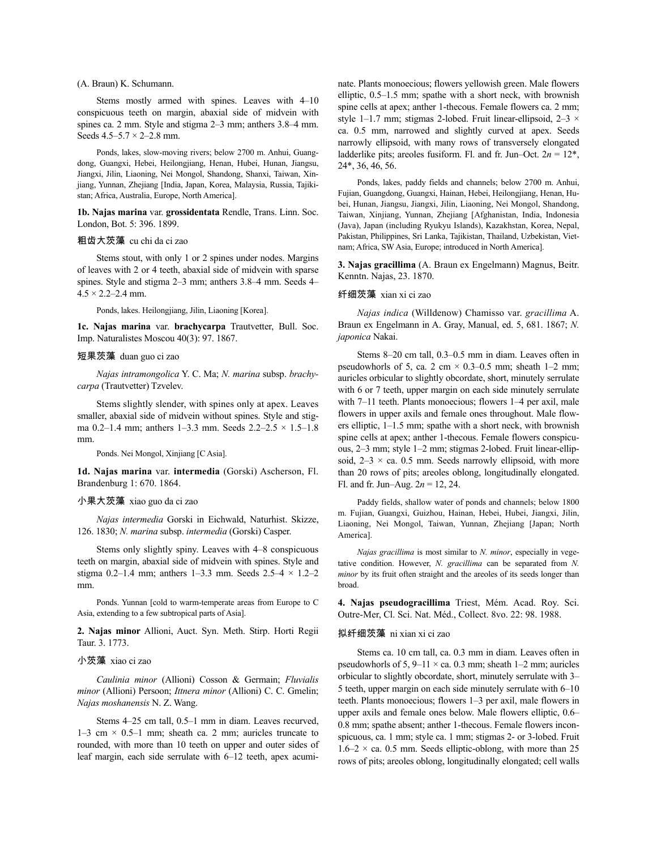#### (A. Braun) K. Schumann.

Stems mostly armed with spines. Leaves with 4–10 conspicuous teeth on margin, abaxial side of midvein with spines ca. 2 mm. Style and stigma 2–3 mm; anthers 3.8–4 mm. Seeds  $4.5 - 5.7 \times 2 - 2.8$  mm.

Ponds, lakes, slow-moving rivers; below 2700 m. Anhui, Guangdong, Guangxi, Hebei, Heilongjiang, Henan, Hubei, Hunan, Jiangsu, Jiangxi, Jilin, Liaoning, Nei Mongol, Shandong, Shanxi, Taiwan, Xinjiang, Yunnan, Zhejiang [India, Japan, Korea, Malaysia, Russia, Tajikistan; Africa, Australia, Europe, North America].

**1b. Najas marina** var. **grossidentata** Rendle, Trans. Linn. Soc. London, Bot. 5: 396. 1899.

## 粗齿大茨藻 cu chi da ci zao

Stems stout, with only 1 or 2 spines under nodes. Margins of leaves with 2 or 4 teeth, abaxial side of midvein with sparse spines. Style and stigma 2–3 mm; anthers 3.8–4 mm. Seeds 4–  $4.5 \times 2.2 - 2.4$  mm.

Ponds, lakes. Heilongjiang, Jilin, Liaoning [Korea].

**1c. Najas marina** var. **brachycarpa** Trautvetter, Bull. Soc. Imp. Naturalistes Moscou 40(3): 97. 1867.

#### 短果茨藻 duan guo ci zao

*Najas intramongolica* Y. C. Ma; *N. marina* subsp. *brachycarpa* (Trautvetter) Tzvelev.

Stems slightly slender, with spines only at apex. Leaves smaller, abaxial side of midvein without spines. Style and stigma 0.2–1.4 mm; anthers 1–3.3 mm. Seeds 2.2–2.5 × 1.5–1.8 mm.

Ponds. Nei Mongol, Xinjiang [C Asia].

**1d. Najas marina** var. **intermedia** (Gorski) Ascherson, Fl. Brandenburg 1: 670. 1864.

## 小果大茨藻 xiao guo da ci zao

*Najas intermedia* Gorski in Eichwald, Naturhist. Skizze, 126. 1830; *N. marina* subsp. *intermedia* (Gorski) Casper.

Stems only slightly spiny. Leaves with 4–8 conspicuous teeth on margin, abaxial side of midvein with spines. Style and stigma 0.2–1.4 mm; anthers 1–3.3 mm. Seeds  $2.5-4 \times 1.2-2$ mm.

Ponds. Yunnan [cold to warm-temperate areas from Europe to C Asia, extending to a few subtropical parts of Asia].

**2. Najas minor** Allioni, Auct. Syn. Meth. Stirp. Horti Regii Taur. 3. 1773.

## 小茨藻 xiao ci zao

*Caulinia minor* (Allioni) Cosson & Germain; *Fluvialis minor* (Allioni) Persoon; *Ittnera minor* (Allioni) C. C. Gmelin; *Najas moshanensis* N. Z. Wang.

Stems 4–25 cm tall, 0.5–1 mm in diam. Leaves recurved, 1–3 cm  $\times$  0.5–1 mm; sheath ca. 2 mm; auricles truncate to rounded, with more than 10 teeth on upper and outer sides of leaf margin, each side serrulate with 6–12 teeth, apex acuminate. Plants monoecious; flowers yellowish green. Male flowers elliptic, 0.5–1.5 mm; spathe with a short neck, with brownish spine cells at apex; anther 1-thecous. Female flowers ca. 2 mm; style 1–1.7 mm; stigmas 2-lobed. Fruit linear-ellipsoid,  $2-3 \times$ ca. 0.5 mm, narrowed and slightly curved at apex. Seeds narrowly ellipsoid, with many rows of transversely elongated ladderlike pits; areoles fusiform. Fl. and fr. Jun–Oct.  $2n = 12^*$ , 24\*, 36, 46, 56.

Ponds, lakes, paddy fields and channels; below 2700 m. Anhui, Fujian, Guangdong, Guangxi, Hainan, Hebei, Heilongjiang, Henan, Hubei, Hunan, Jiangsu, Jiangxi, Jilin, Liaoning, Nei Mongol, Shandong, Taiwan, Xinjiang, Yunnan, Zhejiang [Afghanistan, India, Indonesia (Java), Japan (including Ryukyu Islands), Kazakhstan, Korea, Nepal, Pakistan, Philippines, Sri Lanka, Tajikistan, Thailand, Uzbekistan, Vietnam; Africa, SW Asia, Europe; introduced in North America].

**3. Najas gracillima** (A. Braun ex Engelmann) Magnus, Beitr. Kenntn. Najas, 23. 1870.

#### 纤细茨藻 xian xi ci zao

*Najas indica* (Willdenow) Chamisso var. *gracillima* A. Braun ex Engelmann in A. Gray, Manual, ed. 5, 681. 1867; *N. japonica* Nakai.

Stems 8–20 cm tall, 0.3–0.5 mm in diam. Leaves often in pseudowhorls of 5, ca. 2 cm  $\times$  0.3–0.5 mm; sheath 1–2 mm; auricles orbicular to slightly obcordate, short, minutely serrulate with 6 or 7 teeth, upper margin on each side minutely serrulate with 7–11 teeth. Plants monoecious; flowers 1–4 per axil, male flowers in upper axils and female ones throughout. Male flowers elliptic, 1–1.5 mm; spathe with a short neck, with brownish spine cells at apex; anther 1-thecous. Female flowers conspicuous, 2–3 mm; style 1–2 mm; stigmas 2-lobed. Fruit linear-ellipsoid,  $2-3 \times$  ca. 0.5 mm. Seeds narrowly ellipsoid, with more than 20 rows of pits; areoles oblong, longitudinally elongated. Fl. and fr. Jun–Aug. 2*n* = 12, 24.

Paddy fields, shallow water of ponds and channels; below 1800 m. Fujian, Guangxi, Guizhou, Hainan, Hebei, Hubei, Jiangxi, Jilin, Liaoning, Nei Mongol, Taiwan, Yunnan, Zhejiang [Japan; North America].

*Najas gracillima* is most similar to *N. minor*, especially in vegetative condition. However, *N. gracillima* can be separated from *N. minor* by its fruit often straight and the areoles of its seeds longer than broad.

**4. Najas pseudogracillima** Triest, Mém. Acad. Roy. Sci. Outre-Mer, Cl. Sci. Nat. Méd., Collect. 8vo. 22: 98. 1988.

#### 拟纤细茨藻 ni xian xi ci zao

Stems ca. 10 cm tall, ca. 0.3 mm in diam. Leaves often in pseudowhorls of 5,  $9-11 \times$  ca. 0.3 mm; sheath 1–2 mm; auricles orbicular to slightly obcordate, short, minutely serrulate with 3– 5 teeth, upper margin on each side minutely serrulate with 6–10 teeth. Plants monoecious; flowers 1–3 per axil, male flowers in upper axils and female ones below. Male flowers elliptic, 0.6– 0.8 mm; spathe absent; anther 1-thecous. Female flowers inconspicuous, ca. 1 mm; style ca. 1 mm; stigmas 2- or 3-lobed. Fruit  $1.6-2 \times$  ca. 0.5 mm. Seeds elliptic-oblong, with more than 25 rows of pits; areoles oblong, longitudinally elongated; cell walls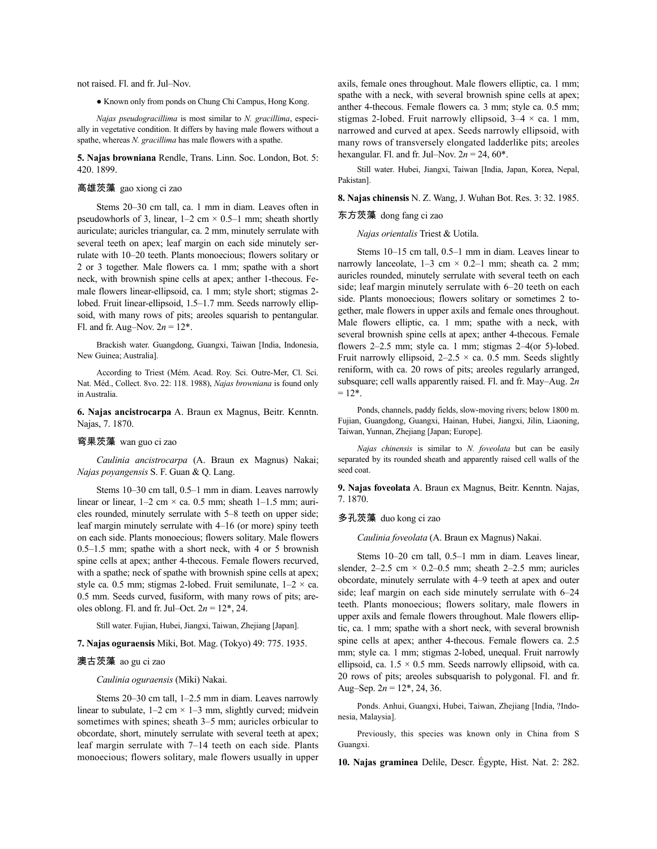not raised. Fl. and fr. Jul–Nov.

● Known only from ponds on Chung Chi Campus, Hong Kong.

*Najas pseudogracillima* is most similar to *N. gracillima*, especially in vegetative condition. It differs by having male flowers without a spathe, whereas *N. gracillima* has male flowers with a spathe.

**5. Najas browniana** Rendle, Trans. Linn. Soc. London, Bot. 5: 420. 1899.

## 高雄茨藻 gao xiong ci zao

Stems 20–30 cm tall, ca. 1 mm in diam. Leaves often in pseudowhorls of 3, linear,  $1-2$  cm  $\times$  0.5–1 mm; sheath shortly auriculate; auricles triangular, ca. 2 mm, minutely serrulate with several teeth on apex; leaf margin on each side minutely serrulate with 10–20 teeth. Plants monoecious; flowers solitary or 2 or 3 together. Male flowers ca. 1 mm; spathe with a short neck, with brownish spine cells at apex; anther 1-thecous. Female flowers linear-ellipsoid, ca. 1 mm; style short; stigmas 2 lobed. Fruit linear-ellipsoid, 1.5–1.7 mm. Seeds narrowly ellipsoid, with many rows of pits; areoles squarish to pentangular. Fl. and fr. Aug–Nov.  $2n = 12^*$ .

Brackish water. Guangdong, Guangxi, Taiwan [India, Indonesia, New Guinea; Australia].

According to Triest (Mém. Acad. Roy. Sci. Outre-Mer, Cl. Sci. Nat. Méd., Collect. 8vo. 22: 118. 1988), *Najas browniana* is found only in Australia.

**6. Najas ancistrocarpa** A. Braun ex Magnus, Beitr. Kenntn. Najas, 7. 1870.

## 弯果茨藻 wan guo ci zao

*Caulinia ancistrocarpa* (A. Braun ex Magnus) Nakai; *Najas poyangensis* S. F. Guan & Q. Lang.

Stems 10–30 cm tall, 0.5–1 mm in diam. Leaves narrowly linear or linear,  $1-2$  cm  $\times$  ca. 0.5 mm; sheath  $1-1.5$  mm; auricles rounded, minutely serrulate with 5–8 teeth on upper side; leaf margin minutely serrulate with 4–16 (or more) spiny teeth on each side. Plants monoecious; flowers solitary. Male flowers 0.5–1.5 mm; spathe with a short neck, with 4 or 5 brownish spine cells at apex; anther 4-thecous. Female flowers recurved, with a spathe; neck of spathe with brownish spine cells at apex; style ca. 0.5 mm; stigmas 2-lobed. Fruit semilunate,  $1-2 \times$  ca. 0.5 mm. Seeds curved, fusiform, with many rows of pits; areoles oblong. Fl. and fr. Jul–Oct.  $2n = 12^*$ , 24.

Still water. Fujian, Hubei, Jiangxi, Taiwan, Zhejiang [Japan].

**7. Najas oguraensis** Miki, Bot. Mag. (Tokyo) 49: 775. 1935.

## 澳古茨藻 ao gu ci zao

*Caulinia oguraensis* (Miki) Nakai.

Stems 20–30 cm tall, 1–2.5 mm in diam. Leaves narrowly linear to subulate,  $1-2$  cm  $\times$  1-3 mm, slightly curved; midvein sometimes with spines; sheath 3–5 mm; auricles orbicular to obcordate, short, minutely serrulate with several teeth at apex; leaf margin serrulate with 7–14 teeth on each side. Plants monoecious; flowers solitary, male flowers usually in upper axils, female ones throughout. Male flowers elliptic, ca. 1 mm; spathe with a neck, with several brownish spine cells at apex; anther 4-thecous. Female flowers ca. 3 mm; style ca. 0.5 mm; stigmas 2-lobed. Fruit narrowly ellipsoid,  $3-4 \times$  ca. 1 mm, narrowed and curved at apex. Seeds narrowly ellipsoid, with many rows of transversely elongated ladderlike pits; areoles hexangular. Fl. and fr. Jul–Nov.  $2n = 24, 60^*$ .

Still water. Hubei, Jiangxi, Taiwan [India, Japan, Korea, Nepal, Pakistan].

**8. Najas chinensis** N. Z. Wang, J. Wuhan Bot. Res. 3: 32. 1985.

## 东方茨藻 dong fang ci zao

*Najas orientalis* Triest & Uotila.

Stems 10–15 cm tall, 0.5–1 mm in diam. Leaves linear to narrowly lanceolate,  $1-3$  cm  $\times$  0.2–1 mm; sheath ca. 2 mm; auricles rounded, minutely serrulate with several teeth on each side; leaf margin minutely serrulate with 6–20 teeth on each side. Plants monoecious; flowers solitary or sometimes 2 together, male flowers in upper axils and female ones throughout. Male flowers elliptic, ca. 1 mm; spathe with a neck, with several brownish spine cells at apex; anther 4-thecous. Female flowers 2–2.5 mm; style ca. 1 mm; stigmas 2–4(or 5)-lobed. Fruit narrowly ellipsoid,  $2-2.5 \times$  ca. 0.5 mm. Seeds slightly reniform, with ca. 20 rows of pits; areoles regularly arranged, subsquare; cell walls apparently raised. Fl. and fr. May–Aug. 2*n*  $= 12$ <sup>\*</sup>.

Ponds, channels, paddy fields, slow-moving rivers; below 1800 m. Fujian, Guangdong, Guangxi, Hainan, Hubei, Jiangxi, Jilin, Liaoning, Taiwan, Yunnan, Zhejiang [Japan; Europe].

*Najas chinensis* is similar to *N. foveolata* but can be easily separated by its rounded sheath and apparently raised cell walls of the seed coat.

**9. Najas foveolata** A. Braun ex Magnus, Beitr. Kenntn. Najas, 7. 1870.

## 多孔茨藻 duo kong ci zao

*Caulinia foveolata* (A. Braun ex Magnus) Nakai.

Stems 10–20 cm tall, 0.5–1 mm in diam. Leaves linear, slender,  $2-2.5$  cm  $\times$  0.2-0.5 mm; sheath 2-2.5 mm; auricles obcordate, minutely serrulate with 4–9 teeth at apex and outer side; leaf margin on each side minutely serrulate with 6–24 teeth. Plants monoecious; flowers solitary, male flowers in upper axils and female flowers throughout. Male flowers elliptic, ca. 1 mm; spathe with a short neck, with several brownish spine cells at apex; anther 4-thecous. Female flowers ca. 2.5 mm; style ca. 1 mm; stigmas 2-lobed, unequal. Fruit narrowly ellipsoid, ca.  $1.5 \times 0.5$  mm. Seeds narrowly ellipsoid, with ca. 20 rows of pits; areoles subsquarish to polygonal. Fl. and fr. Aug–Sep.  $2n = 12^*$ , 24, 36.

Ponds. Anhui, Guangxi, Hubei, Taiwan, Zhejiang [India, ?Indonesia, Malaysia].

Previously, this species was known only in China from S Guangxi.

**10. Najas graminea** Delile, Descr. Égypte, Hist. Nat. 2: 282.